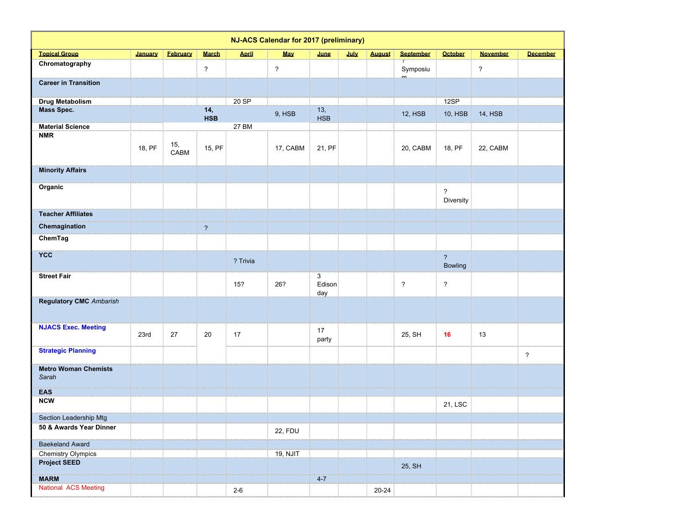| NJ-ACS Calendar for 2017 (preliminary)           |         |                 |                          |              |                          |                    |      |               |                  |                                           |                 |                 |
|--------------------------------------------------|---------|-----------------|--------------------------|--------------|--------------------------|--------------------|------|---------------|------------------|-------------------------------------------|-----------------|-----------------|
| <b>Topical Group</b>                             | January | <b>February</b> | <b>March</b>             | <b>April</b> | <b>May</b>               | June               | July | <b>August</b> | <b>September</b> | <b>October</b>                            | <b>November</b> | <b>December</b> |
| Chromatography                                   |         |                 | $\overline{\phantom{a}}$ |              | $\overline{\phantom{a}}$ |                    |      |               | Symposiu         |                                           | ?               |                 |
| <b>Career in Transition</b>                      |         |                 |                          |              |                          |                    |      |               |                  |                                           |                 |                 |
| <b>Drug Metabolism</b>                           |         |                 |                          | 20 SP        |                          |                    |      |               |                  | 12SP                                      |                 |                 |
| Mass Spec.                                       |         |                 | 14,<br><b>HSB</b>        |              | 9, HSB                   | 13,<br><b>HSB</b>  |      |               | 12, HSB          | <b>10, HSB</b>                            | <b>14, HSB</b>  |                 |
| <b>Material Science</b>                          |         |                 |                          | 27 BM        |                          |                    |      |               |                  |                                           |                 |                 |
| <b>NMR</b>                                       | 18, PF  | 15,<br>CABM     | 15, PF                   |              | 17, CABM                 | 21, PF             |      |               | 20, CABM         | 18, PF                                    | 22, CABM        |                 |
| <b>Minority Affairs</b>                          |         |                 |                          |              |                          |                    |      |               |                  |                                           |                 |                 |
| Organic                                          |         |                 |                          |              |                          |                    |      |               |                  | $\ddot{?}$<br>Diversity                   |                 |                 |
| <b>Teacher Affiliates</b>                        |         |                 |                          |              |                          |                    |      |               |                  |                                           |                 |                 |
| Chemagination                                    |         |                 | $\overline{\mathbf{?}}$  |              |                          |                    |      |               |                  |                                           |                 |                 |
| ChemTag                                          |         |                 |                          |              |                          |                    |      |               |                  |                                           |                 |                 |
| <b>YCC</b>                                       |         |                 |                          | ? Trivia     |                          |                    |      |               |                  | $\overline{\mathbf{?}}$<br><b>Bowling</b> |                 |                 |
| <b>Street Fair</b>                               |         |                 |                          | 15?          | 26?                      | 3<br>Edison<br>day |      |               | $\overline{?}$   | $\overline{\cdot}$                        |                 |                 |
| <b>Regulatory CMC</b> Ambarish                   |         |                 |                          |              |                          |                    |      |               |                  |                                           |                 |                 |
| <b>NJACS Exec. Meeting</b>                       | 23rd    | 27              | 20                       | 17           |                          | 17<br>party        |      |               | 25, SH           | 16                                        | 13              |                 |
| <b>Strategic Planning</b>                        |         |                 |                          |              |                          |                    |      |               |                  |                                           |                 | $\overline{?}$  |
| <b>Metro Woman Chemists</b><br>Sarah             |         |                 |                          |              |                          |                    |      |               |                  |                                           |                 |                 |
| <b>EAS</b>                                       |         |                 |                          |              |                          |                    |      |               |                  |                                           |                 |                 |
| <b>NCW</b>                                       |         |                 |                          |              |                          |                    |      |               |                  | 21, LSC                                   |                 |                 |
| Section Leadership Mtg                           |         |                 |                          |              |                          |                    |      |               |                  |                                           |                 |                 |
| 50 & Awards Year Dinner                          |         |                 |                          |              | <b>22, FDU</b>           |                    |      |               |                  |                                           |                 |                 |
| <b>Baekeland Award</b>                           |         |                 |                          |              |                          |                    |      |               |                  |                                           |                 |                 |
| <b>Chemistry Olympics</b><br><b>Project SEED</b> |         |                 |                          |              | 19, NJIT                 |                    |      |               |                  |                                           |                 |                 |
|                                                  |         |                 |                          |              |                          |                    |      |               | 25, SH           |                                           |                 |                 |
| <b>MARM</b>                                      |         |                 |                          |              |                          | $4-7$              |      |               |                  |                                           |                 |                 |
| National ACS Meeting                             |         |                 |                          | $2 - 6$      |                          |                    |      | $20 - 24$     |                  |                                           |                 |                 |